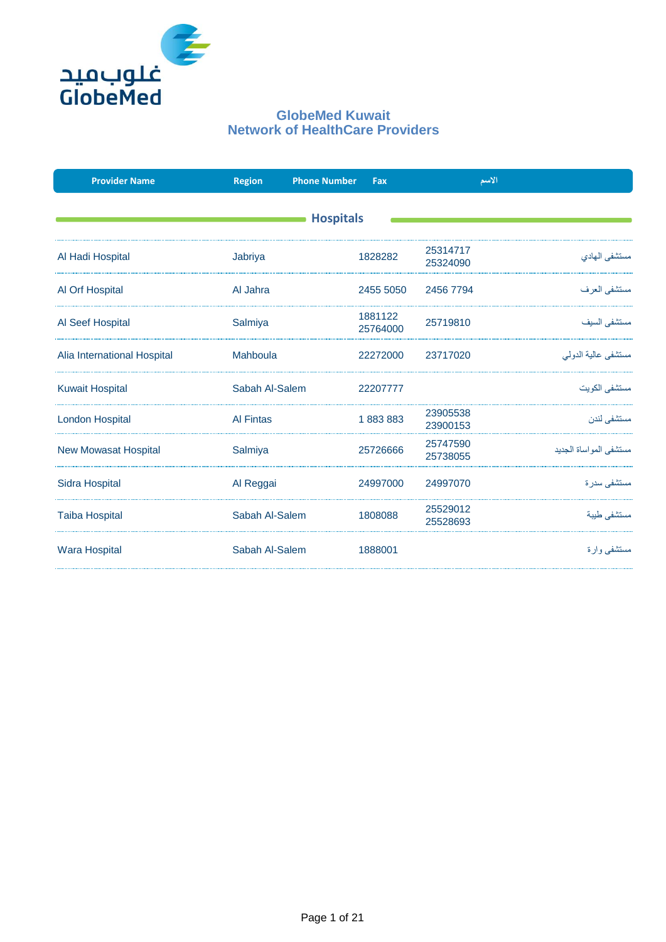

| <b>Provider Name</b>        | <b>Region</b>    | <b>Phone Number</b> | Fax                 |                      | الاسم                   |  |  |  |
|-----------------------------|------------------|---------------------|---------------------|----------------------|-------------------------|--|--|--|
| <b>Hospitals</b>            |                  |                     |                     |                      |                         |  |  |  |
|                             |                  |                     |                     |                      |                         |  |  |  |
| Al Hadi Hospital            | Jabriya          |                     | 1828282             | 25314717<br>25324090 | مستشفى المهادى          |  |  |  |
| Al Orf Hospital             | Al Jahra         |                     | 2455 5050           | 2456 7794            | مستشفى العرف            |  |  |  |
| Al Seef Hospital            | Salmiya          |                     | 1881122<br>25764000 | 25719810             | مستشفى السبف            |  |  |  |
| Alia International Hospital | Mahboula         |                     | 22272000            | 23717020             | مستشفى عالية الدولمي    |  |  |  |
| <b>Kuwait Hospital</b>      | Sabah Al-Salem   |                     | 22207777            |                      | مستشفى الكويت           |  |  |  |
| <b>London Hospital</b>      | <b>Al Fintas</b> |                     | 1883883             | 23905538<br>23900153 | مستشفى لندن             |  |  |  |
| <b>New Mowasat Hospital</b> | Salmiya          |                     | 25726666            | 25747590<br>25738055 | مستشفى المو اساة الجدبد |  |  |  |
| <b>Sidra Hospital</b>       | Al Reggai        |                     | 24997000            | 24997070             | مستشفى سدر ۃ            |  |  |  |
| <b>Taiba Hospital</b>       | Sabah Al-Salem   |                     | 1808088             | 25529012<br>25528693 | مستشفى طببة             |  |  |  |
| <b>Wara Hospital</b>        | Sabah Al-Salem   |                     | 1888001             |                      | مستشفی وار ۃ            |  |  |  |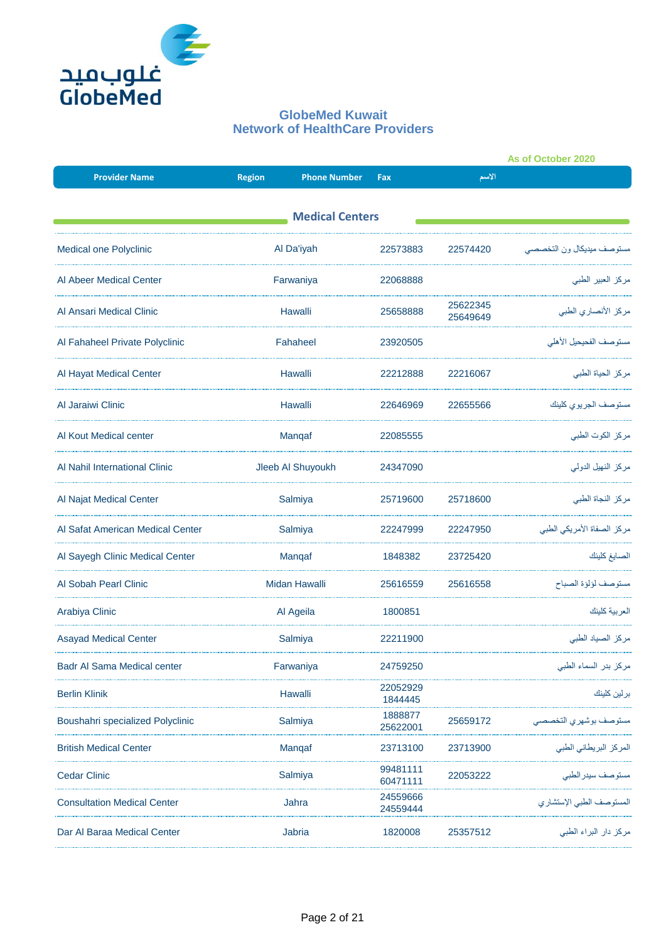

|                                    |                                      |                      | As of October 2020   |                            |  |  |  |  |
|------------------------------------|--------------------------------------|----------------------|----------------------|----------------------------|--|--|--|--|
| <b>Provider Name</b>               | <b>Region</b><br><b>Phone Number</b> | Fax                  | الأسم                |                            |  |  |  |  |
| <b>Medical Centers</b>             |                                      |                      |                      |                            |  |  |  |  |
| Medical one Polyclinic             | Al Da'iyah                           | 22573883             | 22574420             | مستوصف ميديكال ون التخصصي  |  |  |  |  |
| Al Abeer Medical Center            | Farwaniya                            | 22068888             |                      | مركز العبير الطبي          |  |  |  |  |
| Al Ansari Medical Clinic           | Hawalli                              | 25658888             | 25622345<br>25649649 | مركز الأنصاري الطبي        |  |  |  |  |
| Al Fahaheel Private Polyclinic     | Fahaheel                             | 23920505             |                      | مستوصف الفحيحيل الأهلى     |  |  |  |  |
| Al Hayat Medical Center            | Hawalli                              | 22212888             | 22216067             | مركز الحياة الطبي          |  |  |  |  |
| Al Jaraiwi Clinic                  | Hawalli                              | 22646969             | 22655566             | مستوصف الجريوي كلينك       |  |  |  |  |
| Al Kout Medical center             | Manqaf                               | 22085555             |                      | مركز الكوت الطبي           |  |  |  |  |
| Al Nahil International Clinic      | Jleeb Al Shuyoukh                    | 24347090             |                      | مركز النهيل الدولمي        |  |  |  |  |
| Al Najat Medical Center            | Salmiya                              | 25719600             | 25718600             | مركز النجاة الطبي          |  |  |  |  |
| Al Safat American Medical Center   | Salmiya                              | 22247999             | 22247950             | مركز الصفاة الأمريكي الطبي |  |  |  |  |
| Al Sayegh Clinic Medical Center    | Manqaf                               | 1848382              | 23725420             | الصايغ كلينك               |  |  |  |  |
| Al Sobah Pearl Clinic              | <b>Midan Hawalli</b>                 | 25616559             | 25616558             | مستوصف لؤلؤة الصباح        |  |  |  |  |
| Arabiya Clinic                     | Al Ageila                            | 1800851              |                      | العر ببة كلبنك             |  |  |  |  |
| <b>Asayad Medical Center</b>       | Salmiya                              | 22211900             |                      | مركز الصياد الطبي          |  |  |  |  |
| Badr Al Sama Medical center        | Farwaniya                            | 24759250             |                      | مركز بدر السماء الطبي      |  |  |  |  |
| <b>Berlin Klinik</b>               | Hawalli                              | 22052929<br>1844445  |                      | برلين كلينك                |  |  |  |  |
| Boushahri specialized Polyclinic   | Salmiya                              | 1888877<br>25622001  | 25659172             | مستوصف بوشهري التخصصي      |  |  |  |  |
| <b>British Medical Center</b>      | Manqaf                               | 23713100             | 23713900             | المركز البريطاني الطبي     |  |  |  |  |
| <b>Cedar Clinic</b>                | Salmiya                              | 99481111<br>60471111 | 22053222             | مستوصف سيدر الطبي          |  |  |  |  |
| <b>Consultation Medical Center</b> | Jahra                                | 24559666<br>24559444 |                      | المستوصف الطبي الإستشار ي  |  |  |  |  |
| Dar Al Baraa Medical Center        | Jabria                               | 1820008              | 25357512             | مركز دار البراء الطبي      |  |  |  |  |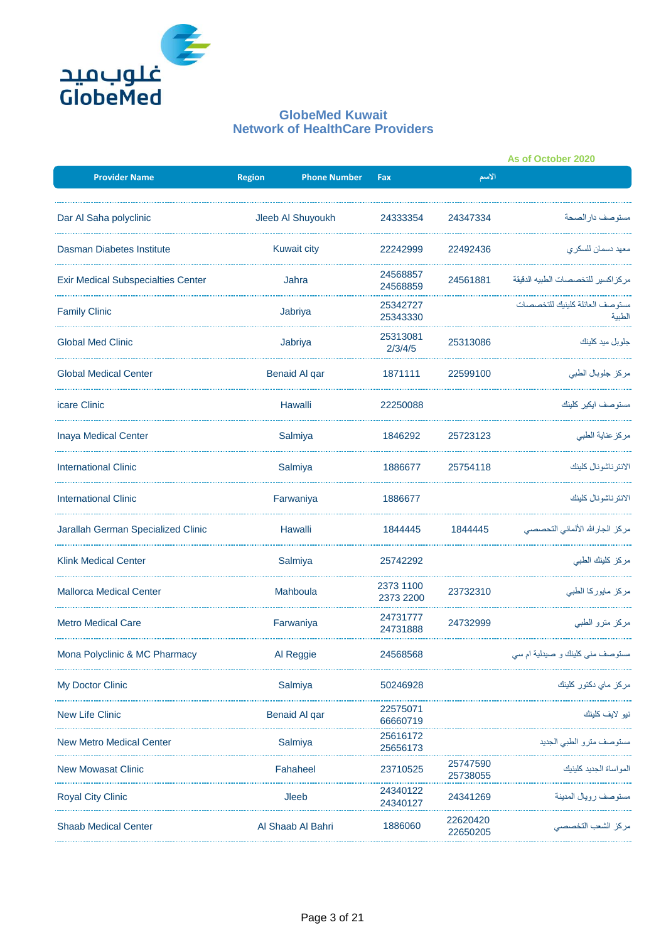

|                                           |                                      |                        |                      | As of October 2020                       |
|-------------------------------------------|--------------------------------------|------------------------|----------------------|------------------------------------------|
| <b>Provider Name</b>                      | <b>Region</b><br><b>Phone Number</b> | Fax                    | الأسم                |                                          |
| Dar Al Saha polyclinic                    | Jleeb Al Shuyoukh                    | 24333354               | 24347334             | مستو صف دار الصحة                        |
| Dasman Diabetes Institute                 | <b>Kuwait city</b>                   | 22242999               | 22492436             | معهد دسمان للسكر ي                       |
| <b>Exir Medical Subspecialties Center</b> | Jahra                                | 24568857<br>24568859   | 24561881             | مركز اكسير للتخصصات الطبيه الدقيقة       |
| <b>Family Clinic</b>                      | Jabriya                              | 25342727<br>25343330   |                      | مستوصف العائلة كلينيك للتخصصات<br>الطبية |
| <b>Global Med Clinic</b>                  | Jabriya                              | 25313081<br>2/3/4/5    | 25313086             | جلو بل مید کلینك                         |
| <b>Global Medical Center</b>              | <b>Benaid Al qar</b>                 | 1871111                | 22599100             | مركز جلوبال الطبي                        |
| icare Clinic                              | Hawalli                              | 22250088               |                      | مستوصف ايكير كلينك                       |
| <b>Inaya Medical Center</b>               | Salmiya                              | 1846292                | 25723123             | مركز عناية الطبي                         |
| <b>International Clinic</b>               | Salmiya                              | 1886677                | 25754118             | الانتر ناشونال كلينك                     |
| <b>International Clinic</b>               | Farwaniya                            | 1886677                |                      | الانتر ناشونال كلينك                     |
| Jarallah German Specialized Clinic        | Hawalli                              | 1844445                | 1844445              | مركز الجارالله الألماني التحصصي          |
| <b>Klink Medical Center</b>               | Salmiya                              | 25742292               |                      | مركز كلينك الطبي                         |
| <b>Mallorca Medical Center</b>            | Mahboula                             | 2373 1100<br>2373 2200 | 23732310             | مركز مايوركا الطبي                       |
| <b>Metro Medical Care</b>                 | Farwaniya                            | 24731777<br>24731888   | 24732999             | مركز مترو الطبي                          |
| Mona Polyclinic & MC Pharmacy             | Al Reggie                            | 24568568               |                      | مستوصف مني كلينك و صيدلية ام سم          |
| My Doctor Clinic                          | Salmiya                              | 50246928               |                      | مركز ماي دكتور كلينك                     |
| <b>New Life Clinic</b>                    | Benaid Al qar                        | 22575071<br>66660719   |                      | نيو لايف كلينك                           |
| <b>New Metro Medical Center</b>           | Salmiya                              | 25616172<br>25656173   |                      | مستوصف مترو الطبي الجديد                 |
| <b>New Mowasat Clinic</b>                 | Fahaheel                             | 23710525               | 25747590<br>25738055 | المواساة الجديد كلينيك                   |
| <b>Royal City Clinic</b>                  | Jleeb                                | 24340122<br>24340127   | 24341269             | مستوصف رويال المدينة                     |
| <b>Shaab Medical Center</b>               | Al Shaab Al Bahri                    | 1886060                | 22620420<br>22650205 | مركز الشعب التخصصي                       |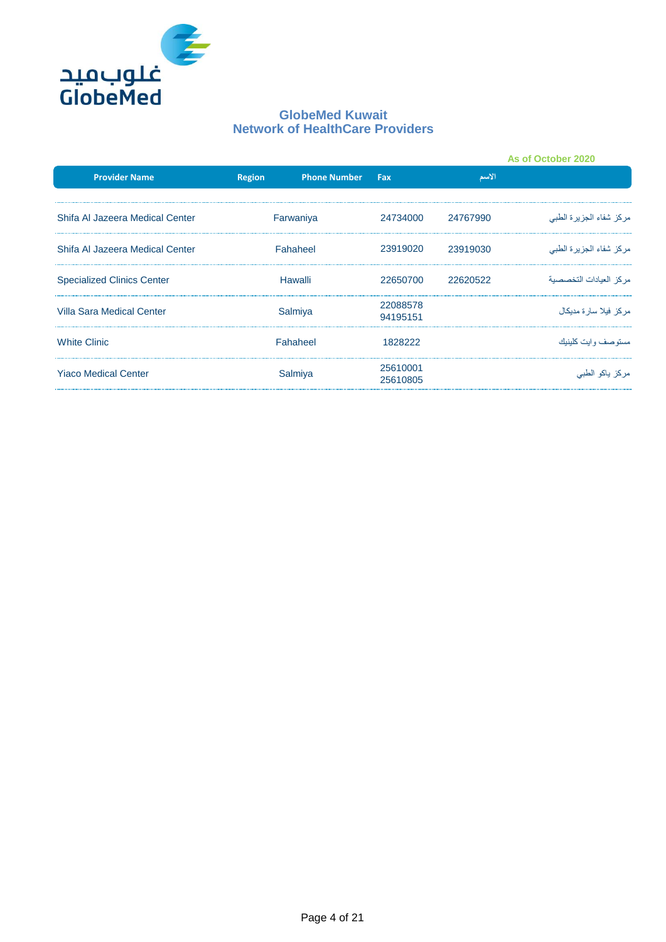

|                                   |               |                     |                      |          | As of October 2020      |
|-----------------------------------|---------------|---------------------|----------------------|----------|-------------------------|
| <b>Provider Name</b>              | <b>Region</b> | <b>Phone Number</b> | Fax                  | الاسم    |                         |
| Shifa Al Jazeera Medical Center   |               | Farwaniya           | 24734000             | 24767990 | مركز شفاء الجزيرة الطبي |
| Shifa Al Jazeera Medical Center   | Fahaheel      |                     | 23919020             | 23919030 | مركز شفاء الجزيرة الطبي |
| <b>Specialized Clinics Center</b> | Hawalli       |                     | 22650700             | 22620522 | مر كز العيادات التخصصية |
| Villa Sara Medical Center         | Salmiya       |                     | 22088578<br>94195151 |          | مر كز فيلا سار ة مديكال |
| <b>White Clinic</b>               |               | Fahaheel            | 1828222              |          | مستو صف و ایت کلینیك    |
| <b>Yiaco Medical Center</b>       |               | Salmiya             | 25610001<br>25610805 |          | مركز ياكو الطبي         |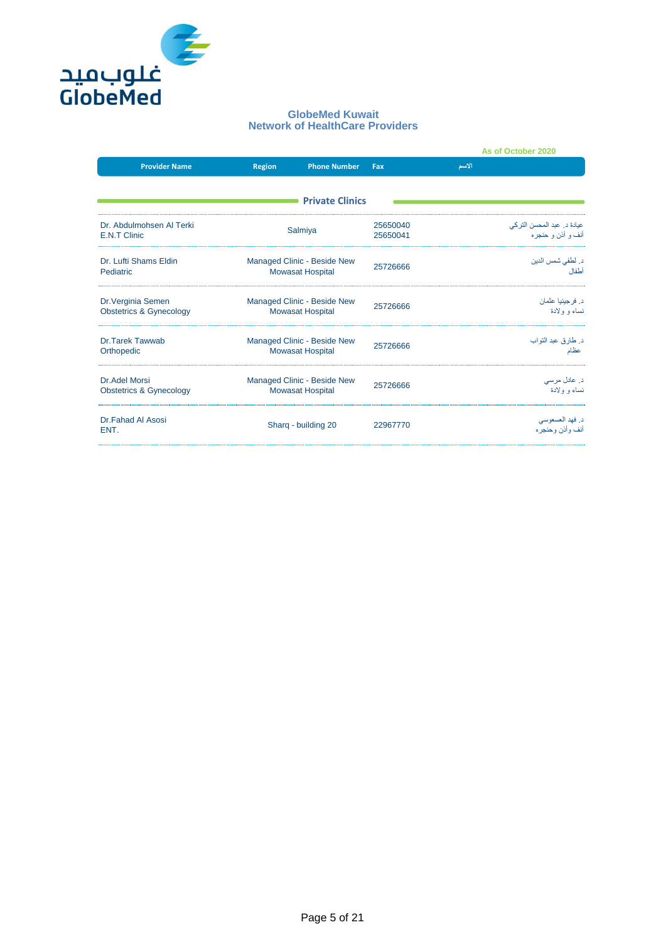

|                                                          |                                                        |                                                        |                      | As of October 2020                                 |
|----------------------------------------------------------|--------------------------------------------------------|--------------------------------------------------------|----------------------|----------------------------------------------------|
| <b>Provider Name</b>                                     | Region                                                 | <b>Phone Number</b>                                    | Fax                  | الأسم                                              |
|                                                          |                                                        | <b>Private Clinics</b>                                 |                      |                                                    |
| Dr. Abdulmohsen Al Terki<br><b>E.N.T Clinic</b>          |                                                        | Salmiya                                                | 25650040<br>25650041 | عيادة د ـ عبد المحسن التر كي<br>أنف و أذن و حنجر ه |
| Dr. Lufti Shams Eldin<br>Pediatric                       |                                                        | Managed Clinic - Beside New<br><b>Mowasat Hospital</b> | 25726666             | د. لطفي شمس الدين<br>أطفال                         |
| Dr. Verginia Semen<br><b>Obstetrics &amp; Gynecology</b> | Managed Clinic - Beside New<br><b>Mowasat Hospital</b> |                                                        | 25726666             | د. فرجينيا عثمان<br>نساء و ولادة                   |
| Dr. Tarek Tawwab<br>Orthopedic                           |                                                        | Managed Clinic - Beside New<br><b>Mowasat Hospital</b> |                      | د. طارق عبد التواب<br>عظام                         |
| Dr. Adel Morsi<br><b>Obstetrics &amp; Gynecology</b>     |                                                        | Managed Clinic - Beside New<br><b>Mowasat Hospital</b> | 25726666             | د. عادل مرسی<br>نساء و ولادة                       |
| <b>Dr.Fahad Al Asosi</b><br>ENT.                         |                                                        | Sharg - building 20                                    | 22967770             | د فهد العسعوسي<br>أنف و أذن و حنجر ه               |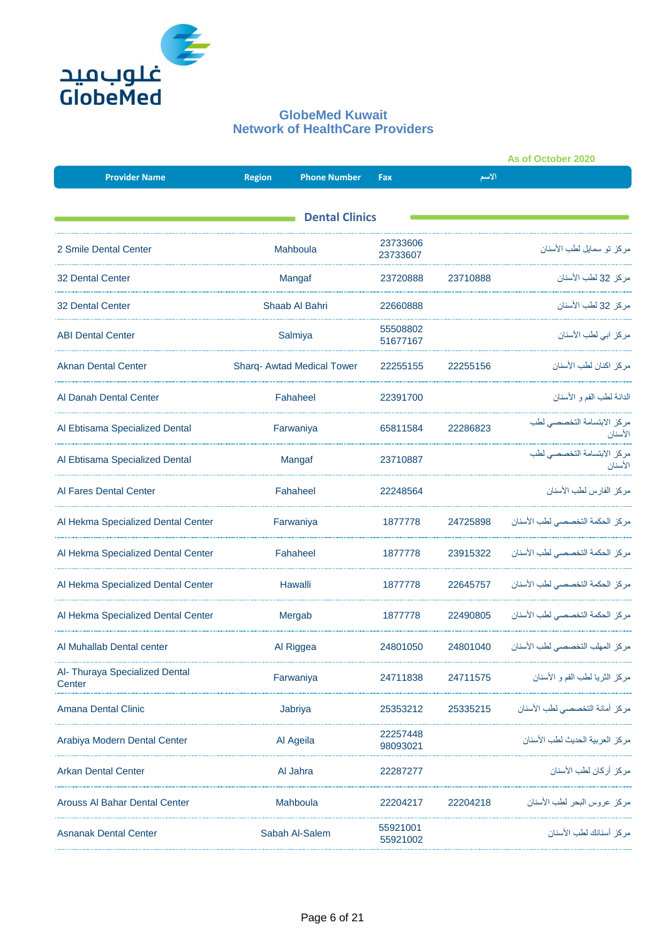

|                                          |               |                            |                      | As of October 2020 |                                       |
|------------------------------------------|---------------|----------------------------|----------------------|--------------------|---------------------------------------|
| <b>Provider Name</b>                     | <b>Region</b> | <b>Phone Number</b>        | Fax                  | الاسم              |                                       |
|                                          |               |                            |                      |                    |                                       |
|                                          |               | <b>Dental Clinics</b>      |                      |                    |                                       |
| 2 Smile Dental Center                    |               | Mahboula                   | 23733606<br>23733607 |                    | مر كز  تو  سمايل لطب الأسنان          |
| <b>32 Dental Center</b>                  |               | Mangaf                     | 23720888             | 23710888           | مر كز  32 لطب الأسنان                 |
| <b>32 Dental Center</b>                  |               | Shaab Al Bahri             | 22660888             |                    | مركز 32 لطب الأسنان                   |
| <b>ABI Dental Center</b>                 |               | Salmiya                    | 55508802<br>51677167 |                    | مركز ابي لطب الأسنان                  |
| <b>Aknan Dental Center</b>               |               | Sharq- Awtad Medical Tower | 22255155             | 22255156           | مر كز اكنان لطب الأسنان               |
| Al Danah Dental Center                   |               | Fahaheel                   | 22391700             |                    | الدانة لطب الفم و الأسنان             |
| Al Ebtisama Specialized Dental           |               | Farwaniya                  | 65811584             | 22286823           | مركز الابتسامة التخصصي لطب<br>الأسنان |
| Al Ebtisama Specialized Dental           |               | Mangaf                     | 23710887             |                    | مركز الابتسامة التخصصى لطب<br>الأسنان |
| Al Fares Dental Center                   |               | Fahaheel                   | 22248564             |                    | مر كز الفار س لطب الأسنان             |
| Al Hekma Specialized Dental Center       |               | Farwaniya                  | 1877778              | 24725898           | مركز الحكمة التخصصى لطب الأسنان       |
| Al Hekma Specialized Dental Center       |               | Fahaheel                   | 1877778              | 23915322           | مركز الحكمة التخصصي لطب الأسنان       |
| Al Hekma Specialized Dental Center       |               | Hawalli                    | 1877778              | 22645757           | مركز الحكمة التخصصي لطب الأسنان       |
| Al Hekma Specialized Dental Center       |               | Mergab                     | 1877778              | 22490805           | مركز الحكمة التخصصي لطب الأسنان       |
| Al Muhallab Dental center                |               | Al Riggea                  | 24801050             | 24801040           | مركز المهلب التخصصي لطب الأسنان       |
| Al- Thuraya Specialized Dental<br>Center |               | Farwaniya                  | 24711838             | 24711575           | مركز الثريا لطب الفم و الأسنان        |
| Amana Dental Clinic                      |               | Jabriya                    | 25353212             | 25335215           | مركز أمانة التخصصي لطب الأسنان        |
| Arabiya Modern Dental Center             |               | Al Ageila                  | 22257448<br>98093021 |                    | مركز العربية الحديث لطب الأسنان       |
| <b>Arkan Dental Center</b>               |               | Al Jahra                   | 22287277             |                    | مر كز أر كان لطب الأسنان              |
| Arouss Al Bahar Dental Center            |               | Mahboula                   | 22204217             | 22204218           | مركز عروس البحر لطب الأسنان           |
| <b>Asnanak Dental Center</b>             |               | Sabah Al-Salem             | 55921001<br>55921002 |                    | مركز أسنانك لطب الأسنان               |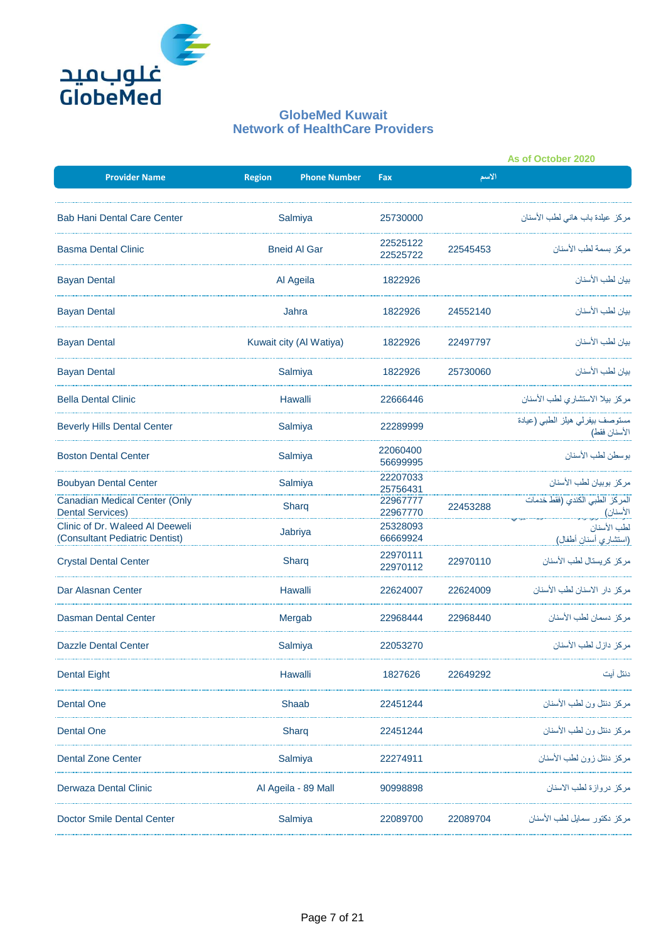

|                                                                   |                         |                            |          | As of October 2020                              |
|-------------------------------------------------------------------|-------------------------|----------------------------|----------|-------------------------------------------------|
| <b>Provider Name</b>                                              | <b>Region</b>           | <b>Phone Number</b><br>Fax | الاسم    |                                                 |
| <b>Bab Hani Dental Care Center</b>                                | Salmiya                 | 25730000                   |          | مركز عيلدة باب هاني لطب الأسنان                 |
| <b>Basma Dental Clinic</b>                                        | <b>Bneid AI Gar</b>     | 22525122<br>22525722       | 22545453 | مركز بسمة لطب الأسنان                           |
| <b>Bayan Dental</b>                                               | Al Ageila               | 1822926                    |          | بيان لطب الأسنان                                |
| <b>Bayan Dental</b>                                               | Jahra                   | 1822926                    | 24552140 | ببان لطب الأسنان                                |
| <b>Bayan Dental</b>                                               | Kuwait city (Al Watiya) | 1822926                    | 22497797 | بيان لطب الأسنان                                |
| <b>Bayan Dental</b>                                               | Salmiya                 | 1822926                    | 25730060 | بيان لطب الأسنان                                |
| <b>Bella Dental Clinic</b>                                        | Hawalli                 | 22666446                   |          | مركز بيلا الاستشاري لطب الأسنان                 |
| <b>Beverly Hills Dental Center</b>                                | Salmiya                 | 22289999                   |          | مستوصف بيفرلي هيلز الطبي (عيادة<br>الأسنان فقط) |
| <b>Boston Dental Center</b>                                       | Salmiya                 | 22060400<br>56699995       |          | بوسطن لطب الأسنان                               |
| <b>Boubyan Dental Center</b>                                      | Salmiya                 | 22207033<br>25756431       |          | مركز بوبيان لطب الأسنان                         |
| Canadian Medical Center (Only<br><b>Dental Services)</b>          | Sharg                   | 22967777<br>22967770       | 22453288 |                                                 |
| Clinic of Dr. Waleed AI Deeweli<br>(Consultant Pediatric Dentist) | Jabriya                 | 25328093<br>66669924       |          | لطب الأسنان<br>(استشاري أسنان أطفال)            |
| <b>Crystal Dental Center</b>                                      | Sharg                   | 22970111<br>22970112       | 22970110 | مركز كريستال لطب الأسنان                        |
| Dar Alasnan Center                                                | Hawalli                 | 22624007                   | 22624009 | مركز دار الاسنان لطب الأسنان                    |
| Dasman Dental Center                                              | Mergab                  | 22968444                   | 22968440 | مركز دسمان لطب الأسنان                          |
| <b>Dazzle Dental Center</b>                                       | Salmiya                 | 22053270                   |          | مركز دازل لطب الأسنان                           |
| <b>Dental Eight</b>                                               | Hawalli                 | 1827626                    | 22649292 | دنتل آبت                                        |
| <b>Dental One</b>                                                 | Shaab                   | 22451244                   |          | مركز دنتل ون لطب الأسنان                        |
| <b>Dental One</b>                                                 | Sharg                   | 22451244                   |          | مركز دنتل ون لطب الأسنان                        |
| <b>Dental Zone Center</b>                                         | Salmiya                 | 22274911                   |          | مركز دنتل زون لطب الأسنان                       |
| Derwaza Dental Clinic                                             | Al Ageila - 89 Mall     | 90998898                   |          | مركز دروازة لطب الاسنان                         |
| Doctor Smile Dental Center                                        | Salmiya                 | 22089700                   | 22089704 | مركز دكتور سمايل لطب الأسنان                    |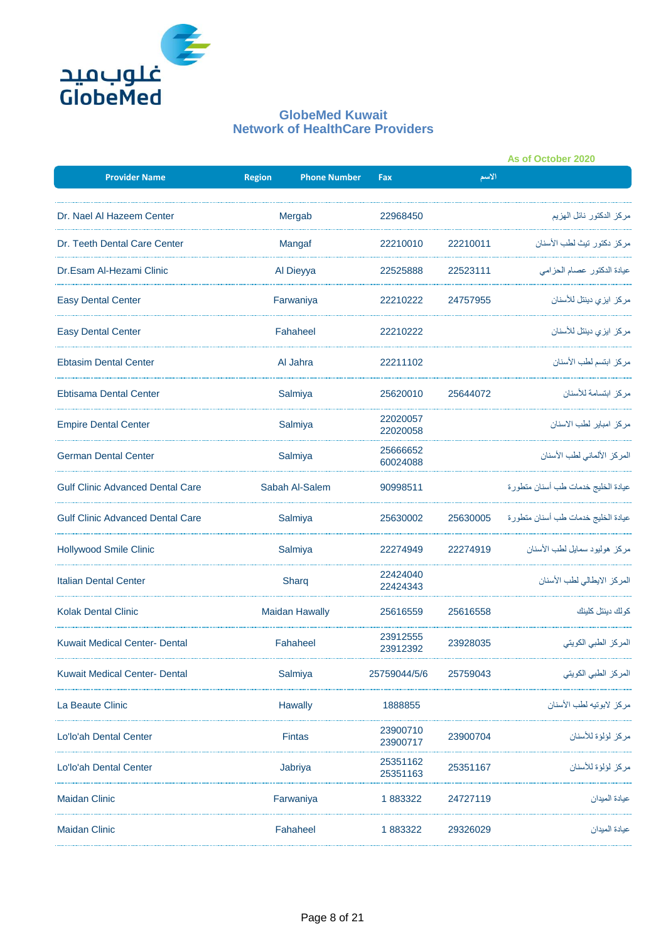

|                                         |               |                       |                      |          | As of October 2020                 |
|-----------------------------------------|---------------|-----------------------|----------------------|----------|------------------------------------|
| <b>Provider Name</b>                    | <b>Region</b> | <b>Phone Number</b>   | Fax                  | الاسم    |                                    |
| Dr. Nael Al Hazeem Center               |               | Mergab                | 22968450             |          | مركز الدكتور نائل الهزيم           |
| Dr. Teeth Dental Care Center            |               | Mangaf                | 22210010             | 22210011 | مركز دكتور تيث لطب الأسنان         |
| Dr.Esam Al-Hezami Clinic                |               | Al Dieyya             | 22525888             | 22523111 | عيادة الدكتور عصام الحزامي         |
| <b>Easy Dental Center</b>               |               | Farwaniya             | 22210222             | 24757955 | مركز ايزى دينتل للأسنان            |
| <b>Easy Dental Center</b>               |               | Fahaheel              | 22210222             |          | مركز ايزي دينتل للأسنان            |
| <b>Ebtasim Dental Center</b>            |               | Al Jahra              | 22211102             |          | مركز ابتسم لطب الأسنان             |
| <b>Ebtisama Dental Center</b>           |               | Salmiya               | 25620010             | 25644072 | مركز ابتسامة للأسنان               |
| <b>Empire Dental Center</b>             |               | Salmiya               | 22020057<br>22020058 |          | مركز امباير لطب الاسنان            |
| <b>German Dental Center</b>             |               | Salmiya               | 25666652<br>60024088 |          | المركز الألماني لطب الأسنان        |
| <b>Gulf Clinic Advanced Dental Care</b> |               | Sabah Al-Salem        |                      |          | عيادة الخليج خدمات طب أسنان متطورة |
| <b>Gulf Clinic Advanced Dental Care</b> |               | Salmiya               |                      | 25630005 | عيادة الخليج خدمات طب أسنان متطورة |
| <b>Hollywood Smile Clinic</b>           |               | Salmiya               | 22274949             | 22274919 | مركز هوليود سمايل لطب الأسنان      |
| <b>Italian Dental Center</b>            |               | Sharq                 | 22424040<br>22424343 |          | المركز الايطالي لطب الأسنان        |
| <b>Kolak Dental Clinic</b>              |               | <b>Maidan Hawally</b> | 25616559             | 25616558 | كو لك دينتل كلينك                  |
| <b>Kuwait Medical Center- Dental</b>    |               | Fahaheel              | 23912555<br>23912392 | 23928035 | المركز الطبي الكويتي               |
| <b>Kuwait Medical Center- Dental</b>    |               | Salmiya               | 25759044/5/6         | 25759043 | المركز الطبي الكويتي               |
| La Beaute Clinic                        |               | Hawally               | 1888855              |          | مركز لابوتيه لطب الأسنان           |
| Lo'lo'ah Dental Center                  |               | Fintas                | 23900710<br>23900717 | 23900704 | مركز لؤلؤة للأسنان                 |
| Lo'lo'ah Dental Center                  |               | Jabriya               | 25351162<br>25351163 | 25351167 | مر كز لؤلؤة للأسنان                |
| <b>Maidan Clinic</b>                    |               | Farwaniya             | 1883322              | 24727119 | عيادة المبدان                      |
| <b>Maidan Clinic</b>                    |               | Fahaheel              | 1883322              | 29326029 | عيادة الميدان                      |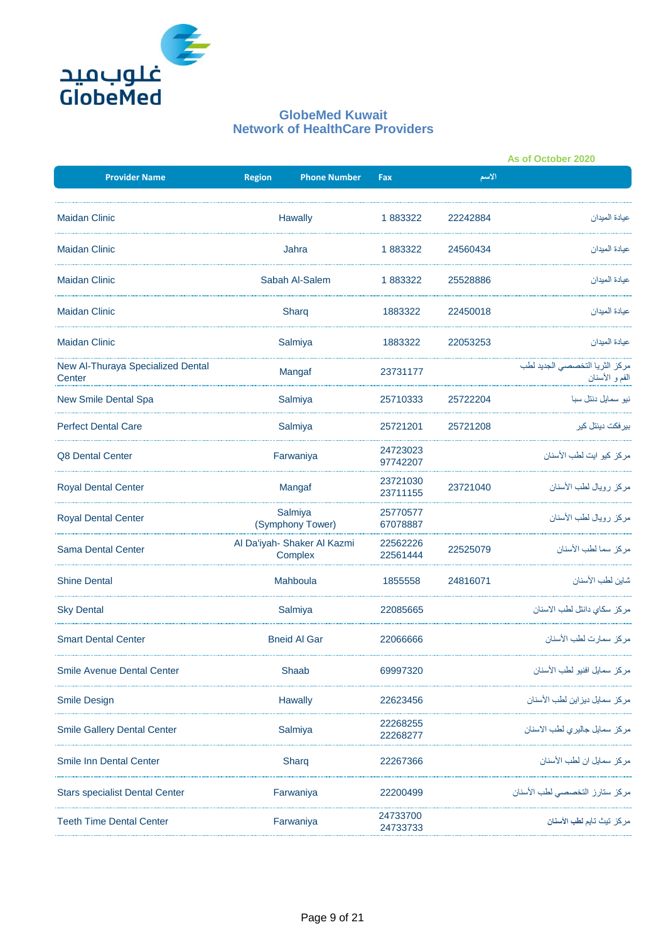

|                                             |                                        |                            |          | As of October 2020                               |
|---------------------------------------------|----------------------------------------|----------------------------|----------|--------------------------------------------------|
| <b>Provider Name</b>                        | <b>Region</b>                          | <b>Phone Number</b><br>Fax | الاسم    |                                                  |
| <b>Maidan Clinic</b>                        | Hawally                                | 1883322                    | 22242884 | عيادة الميدان                                    |
| <b>Maidan Clinic</b>                        | Jahra                                  | 1883322                    | 24560434 | عيادة الميدان                                    |
| <b>Maidan Clinic</b>                        | Sabah Al-Salem                         | 1883322                    | 25528886 | عيادة المبدان                                    |
| <b>Maidan Clinic</b>                        | Sharg                                  | 1883322                    | 22450018 | عيادة الميدان                                    |
| <b>Maidan Clinic</b>                        | Salmiya                                | 1883322                    | 22053253 | عيادة الميدان                                    |
| New Al-Thuraya Specialized Dental<br>Center | Mangaf                                 | 23731177                   |          | مركز الثريا التخصصى الجديد لطب<br>الفم و الأسنان |
| <b>New Smile Dental Spa</b>                 | Salmiya                                | 25710333                   | 25722204 | نیو سمایل دنتل سبا                               |
| <b>Perfect Dental Care</b>                  | Salmiya                                | 25721201                   | 25721208 | بیر فکت دینتل کیر                                |
| Q8 Dental Center                            | Farwaniya                              | 24723023<br>97742207       |          | مر كز كيو ايت لطب الأسنان                        |
| <b>Royal Dental Center</b>                  | Mangaf                                 | 23721030<br>23711155       | 23721040 | مر كز  ر و يال لطب الأسنان                       |
| <b>Royal Dental Center</b>                  | Salmiya<br>(Symphony Tower)            | 25770577<br>67078887       |          | مركز رويال لطب الأسنان                           |
| <b>Sama Dental Center</b>                   | Al Da'iyah- Shaker Al Kazmi<br>Complex | 22562226<br>22561444       | 22525079 | مركز سما لطب الأسنان                             |
| <b>Shine Dental</b>                         | Mahboula                               | 1855558                    | 24816071 | شاين لطب الأسنان                                 |
| <b>Sky Dental</b>                           | Salmiya                                | 22085665                   |          | مر كز سكاى دانتل لطب الاسنان                     |
| <b>Smart Dental Center</b>                  | <b>Bneid Al Gar</b>                    | 22066666                   |          | مركز سمارت لطب الأسنان                           |
| <b>Smile Avenue Dental Center</b>           | Shaab                                  | 69997320                   |          | مر كز سمايل افنيو لطب الأسنان                    |
| <b>Smile Design</b>                         | <b>Hawally</b>                         | 22623456                   |          | مركز سمايل ديز اين لطب الأسنان                   |
| <b>Smile Gallery Dental Center</b>          | Salmiya                                | 22268255<br>22268277       |          | مركز سمايل جاليري لطب الاسنان                    |
| <b>Smile Inn Dental Center</b>              | Sharg                                  | 22267366                   |          | مركز سمايل ان لطب الأسنان                        |
| <b>Stars specialist Dental Center</b>       | Farwaniya                              | 22200499                   |          | مركز ستارز التخصصي لطب الأسنان                   |
| <b>Teeth Time Dental Center</b>             | Farwaniya                              | 24733700<br>24733733       |          | مركز تيث تايم <b>لطب الأسنان</b>                 |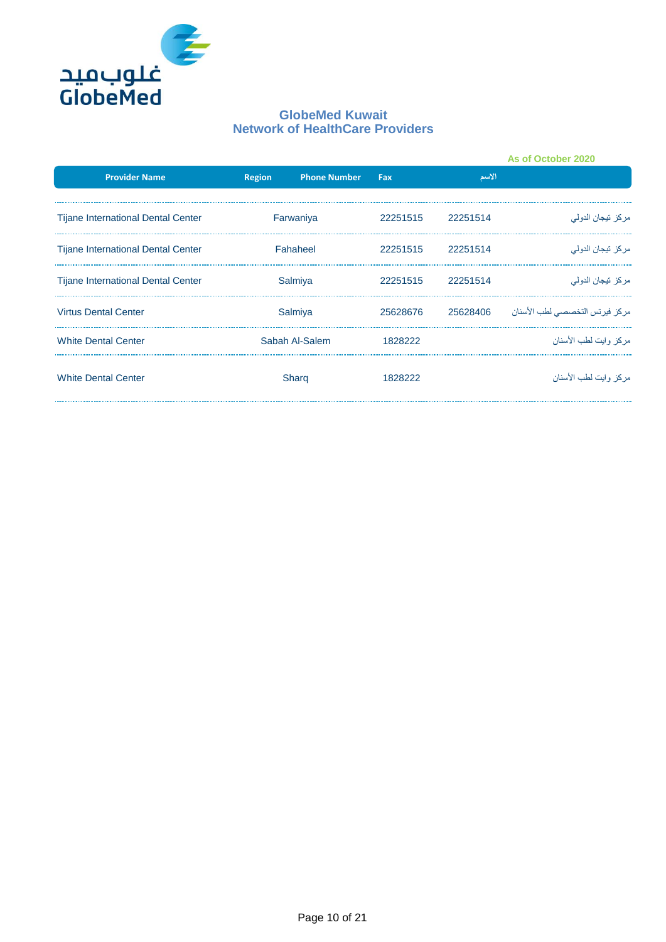

|                                           |          |                     |          |          | As of October 2020             |
|-------------------------------------------|----------|---------------------|----------|----------|--------------------------------|
| <b>Provider Name</b>                      | Region   | <b>Phone Number</b> | Fax      | الأسم    |                                |
| Tijane International Dental Center        |          | Farwaniya           | 22251515 | 22251514 | مركز تيجان الدولي              |
| <b>Tijane International Dental Center</b> | Fahaheel |                     | 22251515 | 22251514 | مركز تيجان الدولي              |
| <b>Tijane International Dental Center</b> | Salmiya  |                     | 22251515 | 22251514 | مركز تيجان الدولي              |
| <b>Virtus Dental Center</b>               | Salmiya  |                     | 25628676 | 25628406 | مركز فيرتس التخصصي لطب الأسنان |
| <b>White Dental Center</b>                |          | Sabah Al-Salem      | 1828222  |          | مر كز -وابت لطب الأسنان        |
| <b>White Dental Center</b>                |          | Sharg               | 1828222  |          | مر كز ۖ و ايت لطب الأسنان      |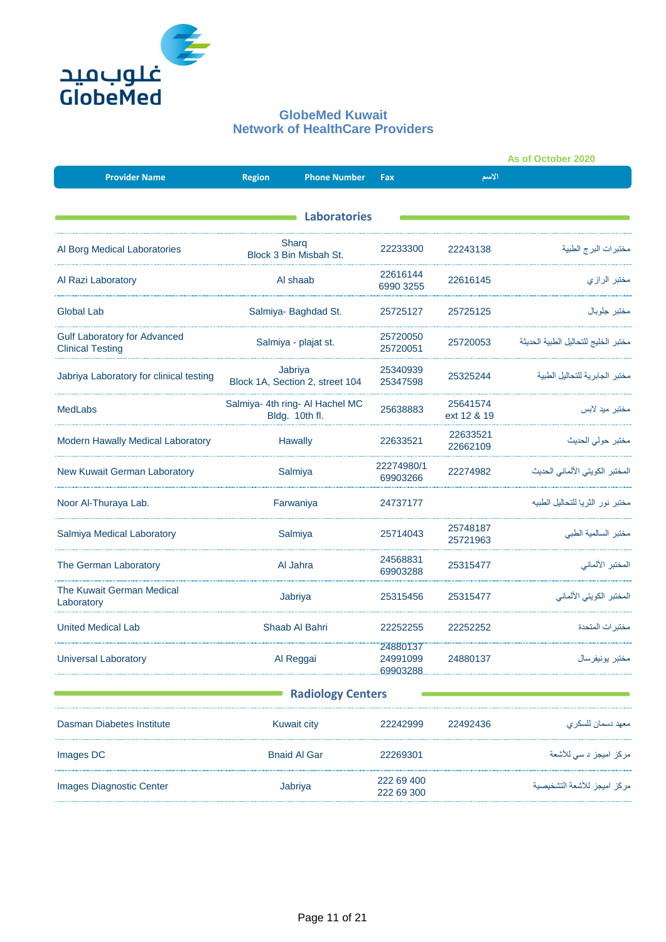

|                                                                |                                                   |                                            |                                  |                         | As of October 2020                   |
|----------------------------------------------------------------|---------------------------------------------------|--------------------------------------------|----------------------------------|-------------------------|--------------------------------------|
| <b>Provider Name</b>                                           | <b>Region</b>                                     | <b>Phone Number</b>                        | Fax                              | الاسم                   |                                      |
|                                                                |                                                   | <b>Laboratories</b>                        |                                  |                         |                                      |
| Al Borg Medical Laboratories                                   | Sharg<br>Block 3 Bin Misbah St.                   |                                            | 22233300                         | 22243138                | مختبرات البرج الطبية                 |
| Al Razi Laboratory                                             |                                                   | Al shaab                                   | 22616144<br>6990 3255            | 22616145                | مختبر الرازي                         |
| Global Lab                                                     |                                                   | Salmiya- Baghdad St.                       | 25725127                         | 25725125                | مختبر جلوبال                         |
| <b>Gulf Laboratory for Advanced</b><br><b>Clinical Testing</b> |                                                   | Salmiya - plajat st.                       | 25720050<br>25720051             | 25720053                | مختبر الخليج للتحاليل الطبية الحديثة |
| Jabriya Laboratory for clinical testing                        |                                                   | Jabriya<br>Block 1A, Section 2, street 104 | 25340939<br>25347598             | 25325244                | مختبر الجابرية للتحاليل الطبية       |
| <b>MedLabs</b>                                                 | Salmiya- 4th ring- Al Hachel MC<br>Bldg. 10th fl. |                                            | 25638883                         | 25641574<br>ext 12 & 19 | مختبر ميد لابس                       |
| Modern Hawally Medical Laboratory                              | <b>Hawally</b>                                    |                                            | 22633521                         | 22633521<br>22662109    | مختبر حولى الحديث                    |
| New Kuwait German Laboratory                                   | Salmiya                                           |                                            | 22274980/1<br>69903266           | 22274982                | المختبر الكويتي الألماني الحديث      |
| Noor Al-Thuraya Lab.                                           | Farwaniya                                         |                                            | 24737177                         |                         | مختبر نور الثريا للتحاليل الطبيه     |
| Salmiya Medical Laboratory                                     |                                                   | Salmiya                                    | 25714043                         | 25748187<br>25721963    | مختبر السالمية الطبى                 |
| The German Laboratory                                          |                                                   | Al Jahra                                   | 24568831<br>69903288             | 25315477                | المختبر الألماني                     |
| The Kuwait German Medical<br>Laboratory                        |                                                   | Jabriya                                    | 25315456                         | 25315477                | المختبر الكويتي الألماني             |
| <b>United Medical Lab</b>                                      |                                                   | Shaab Al Bahri                             | 22252255                         | 22252252                | مختبر ات المتحدة                     |
| <b>Universal Laboratory</b>                                    | Al Reggai                                         |                                            | 24880137<br>24991099<br>69903288 | 24880137                | مختبر يونيفرسال                      |
|                                                                |                                                   | <b>Radiology Centers</b>                   |                                  |                         |                                      |
| Dasman Diabetes Institute                                      |                                                   | <b>Kuwait city</b>                         | 22242999                         | 22492436                | معهد دسمان للسكر ي                   |
| Images DC                                                      |                                                   | <b>Bnaid Al Gar</b>                        | 22269301                         |                         | مركز اميجز د سي للأشعة               |
| <b>Images Diagnostic Center</b>                                |                                                   | Jabriya                                    | 222 69 400<br>222 69 300         |                         | مركز اميجز للأشعة التشخيصية          |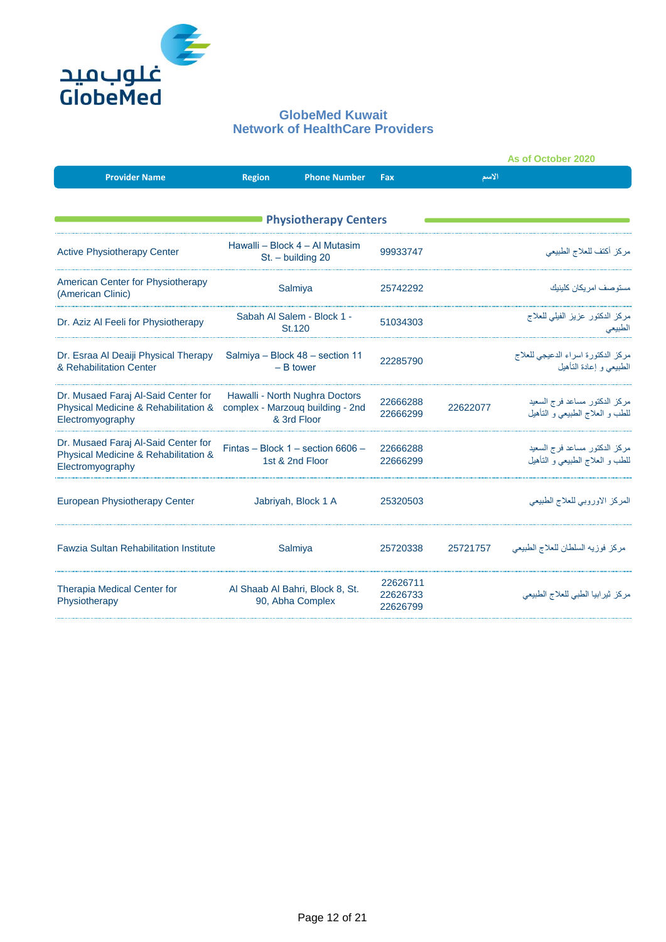

|                                                                                                 |               |                                                                                   |                                  |          | As of October 2020                                                   |
|-------------------------------------------------------------------------------------------------|---------------|-----------------------------------------------------------------------------------|----------------------------------|----------|----------------------------------------------------------------------|
| <b>Provider Name</b>                                                                            | <b>Region</b> | <b>Phone Number</b>                                                               | Fax                              | الاسم    |                                                                      |
|                                                                                                 |               | <b>Physiotherapy Centers</b>                                                      |                                  |          |                                                                      |
| <b>Active Physiotherapy Center</b>                                                              |               | Hawalli – Block 4 – Al Mutasim<br>St. - building 20                               | 99933747                         |          | مركز أكتف للعلاج الطبيعي                                             |
| American Center for Physiotherapy<br>(American Clinic)                                          |               | Salmiya                                                                           | 25742292                         |          | مستو صف امر يكان كلينيك                                              |
| Dr. Aziz Al Feeli for Physiotherapy                                                             |               | Sabah Al Salem - Block 1 -<br>St.120                                              | 51034303                         |          | مركز الدكتور عزيز الفيلي للعلاج<br>الطبيعى                           |
| Dr. Esraa Al Deaiji Physical Therapy<br>& Rehabilitation Center                                 |               | Salmiya - Block 48 - section 11<br>$-$ B tower                                    | 22285790                         |          | مركز الدكتورة اسراء الدعيجي للعلاج<br>الطبيعي و إعادة التأهيل        |
| Dr. Musaed Faraj Al-Said Center for<br>Physical Medicine & Rehabilitation &<br>Electromyography |               | Hawalli - North Nughra Doctors<br>complex - Marzouq building - 2nd<br>& 3rd Floor | 22666288<br>22666299             | 22622077 | مركز الدكتور مساعد فرج السعيد<br>للطب و العلاج الطبيعي و التأهيل     |
| Dr. Musaed Faraj Al-Said Center for<br>Physical Medicine & Rehabilitation &<br>Electromyography |               | Fintas - Block 1 - section 6606 -<br>1st & 2nd Floor                              | 22666288<br>22666299             |          | مركز الدكتور مساعد فرج السعيد<br>للطب و الـعلاج الطبيعـي و الـتـأهيل |
| European Physiotherapy Center                                                                   |               | Jabriyah, Block 1 A                                                               | 25320503                         |          | المركز الاوروبي للعلاج الطبيعي                                       |
| <b>Fawzia Sultan Rehabilitation Institute</b>                                                   |               | Salmiya                                                                           | 25720338                         | 25721757 | مركز فوزيه السلطان للعلاج الطبيعي                                    |
| <b>Therapia Medical Center for</b><br>Physiotherapy                                             |               | Al Shaab Al Bahri, Block 8, St.<br>90, Abha Complex                               | 22626711<br>22626733<br>22626799 |          | مركز ثيرابيا الطبي للعلاج الطبيعي                                    |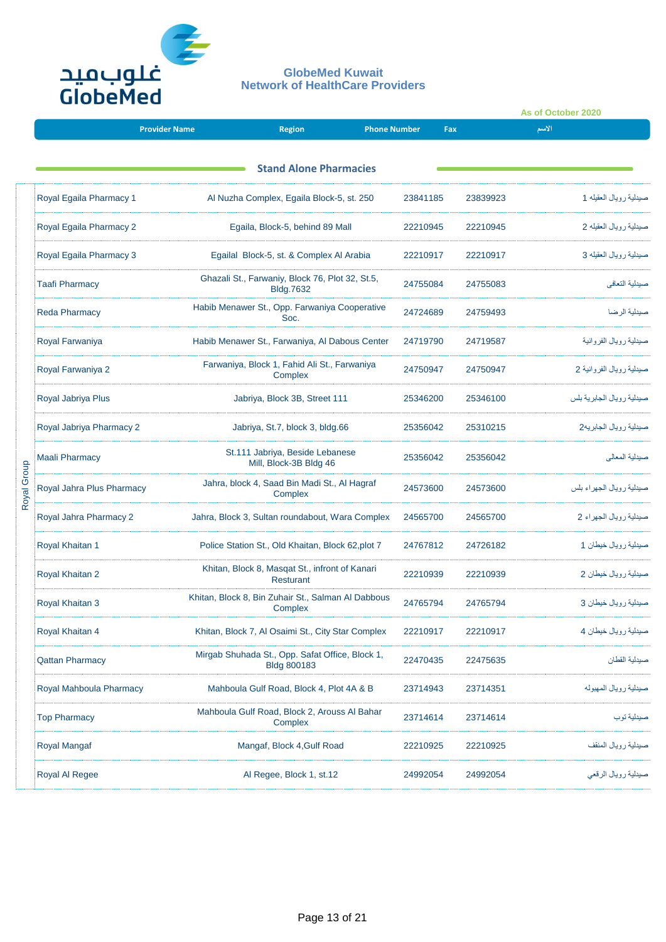

|             |                           |                      |                                                                       |                     |                      |          | As of October 2020 |                            |
|-------------|---------------------------|----------------------|-----------------------------------------------------------------------|---------------------|----------------------|----------|--------------------|----------------------------|
|             |                           | <b>Provider Name</b> | <b>Region</b>                                                         | <b>Phone Number</b> |                      | Fax      | الاسم              |                            |
|             |                           |                      | <b>Stand Alone Pharmacies</b>                                         |                     |                      |          |                    |                            |
|             | Royal Egaila Pharmacy 1   |                      | Al Nuzha Complex, Egaila Block-5, st. 250                             |                     | 23841185             | 23839923 |                    | صيدلية رويال العقيله 1     |
|             | Royal Egaila Pharmacy 2   |                      | Egaila, Block-5, behind 89 Mall                                       |                     | 22210945             | 22210945 |                    | صيدلية رويال العقيله 2     |
|             | Royal Egaila Pharmacy 3   |                      | Egailal Block-5, st. & Complex Al Arabia                              |                     | 22210917             | 22210917 |                    | صيدلية رويال العقيله 3     |
|             | <b>Taafi Pharmacy</b>     |                      | Ghazali St., Farwaniy, Block 76, Plot 32, St.5,<br><b>Bldg.7632</b>   |                     | 24755084             | 24755083 |                    | صيدلية التعافى             |
|             | <b>Reda Pharmacy</b>      |                      | Habib Menawer St., Opp. Farwaniya Cooperative<br>Soc.                 |                     | 24724689             | 24759493 |                    | صيدلية الرضا               |
|             | Royal Farwaniya           |                      | Habib Menawer St., Farwaniya, Al Dabous Center                        |                     | 24719790             | 24719587 |                    | صيدلية رويال الفروانية     |
|             | Royal Farwaniya 2         |                      | Farwaniya, Block 1, Fahid Ali St., Farwaniya<br>Complex               |                     | 24750947<br>24750947 |          |                    | صبيلية رويال الفروانية 2   |
|             | Royal Jabriya Plus        |                      | Jabriya, Block 3B, Street 111                                         |                     | 25346200             | 25346100 |                    | صيدلية رويال الجابرية بلس  |
|             | Royal Jabriya Pharmacy 2  |                      | Jabriya, St.7, block 3, bldg.66                                       |                     | 25356042             | 25310215 |                    | صيدلية رويال الجابريه2     |
|             | Maali Pharmacy            |                      | St.111 Jabriya, Beside Lebanese<br>Mill, Block-3B Bldg 46             |                     | 25356042             | 25356042 |                    | صيدلية المعالى             |
| Royal Group | Royal Jahra Plus Pharmacy |                      | Jahra, block 4, Saad Bin Madi St., Al Hagraf<br>Complex               |                     | 24573600             | 24573600 |                    | صيدلية ر ويال الجهر اء بلس |
|             | Royal Jahra Pharmacy 2    |                      | Jahra, Block 3, Sultan roundabout, Wara Complex                       |                     | 24565700             | 24565700 |                    | صيدلية رويال الجهراء 2     |
|             | Royal Khaitan 1           |                      | Police Station St., Old Khaitan, Block 62, plot 7                     |                     | 24767812             | 24726182 |                    | صيدلية ر ويال خيطان 1      |
|             | Royal Khaitan 2           |                      | Khitan, Block 8, Masqat St., infront of Kanari<br><b>Resturant</b>    |                     | 22210939             | 22210939 |                    | صيدلية رويال خيطان 2       |
|             | <b>Royal Khaitan 3</b>    |                      | Khitan, Block 8, Bin Zuhair St., Salman Al Dabbous<br>Complex         |                     | 24765794             | 24765794 |                    | صيدلية ر ويال خيطان 3      |
|             | Royal Khaitan 4           |                      | Khitan, Block 7, Al Osaimi St., City Star Complex                     |                     | 22210917             | 22210917 |                    | صيدلية رويال خيطان 4       |
|             | <b>Qattan Pharmacy</b>    |                      | Mirgab Shuhada St., Opp. Safat Office, Block 1,<br><b>Bldg 800183</b> |                     | 22470435             | 22475635 |                    | صبدلبة القطان              |
|             | Royal Mahboula Pharmacy   |                      | Mahboula Gulf Road, Block 4, Plot 4A & B                              |                     | 23714943             | 23714351 |                    | صيدلية رويال المهبوله      |
|             | <b>Top Pharmacy</b>       |                      | Mahboula Gulf Road, Block 2, Arouss Al Bahar<br>Complex               |                     | 23714614             | 23714614 |                    | صيدلية توب                 |
|             | <b>Royal Mangaf</b>       |                      | Mangaf, Block 4, Gulf Road                                            |                     | 22210925             | 22210925 |                    | صيدلية رويال المنقف        |
|             | Royal Al Regee            |                      | Al Regee, Block 1, st.12                                              |                     | 24992054             | 24992054 |                    | صيدلية رويال الرقعي        |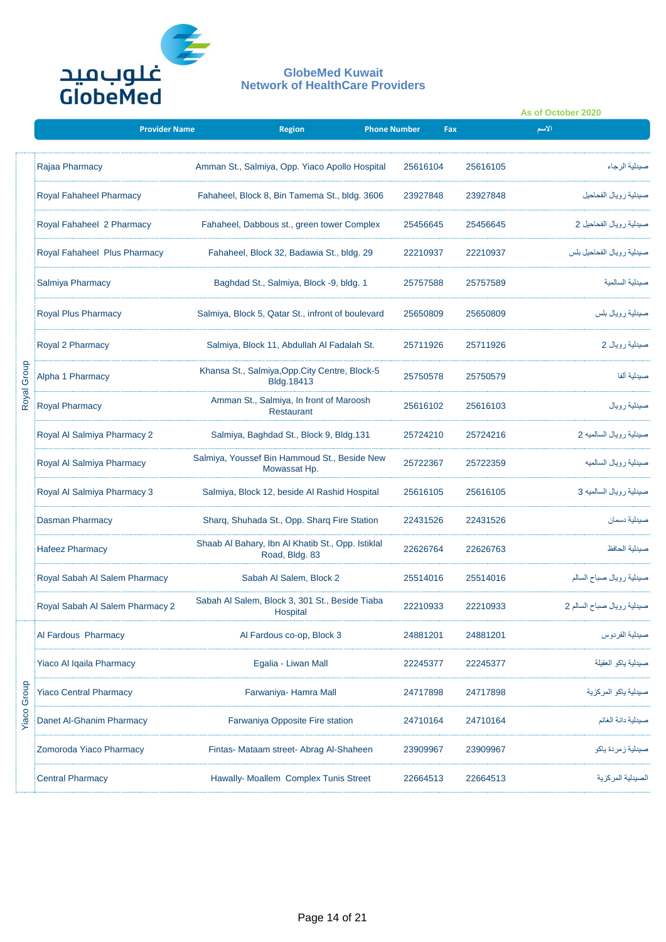

|       |                                 |                      |                                                   |                           |                     |                      |          | As of October 2020         |  |
|-------|---------------------------------|----------------------|---------------------------------------------------|---------------------------|---------------------|----------------------|----------|----------------------------|--|
|       |                                 | <b>Provider Name</b> |                                                   | <b>Region</b>             | <b>Phone Number</b> |                      | Fax      | الاسم                      |  |
|       | Rajaa Pharmacy                  |                      | Amman St., Salmiya, Opp. Yiaco Apollo Hospital    |                           |                     | 25616104             | 25616105 | صبدلية الرجاء              |  |
|       | <b>Royal Fahaheel Pharmacy</b>  |                      | Fahaheel, Block 8, Bin Tamema St., bldg. 3606     |                           |                     | 23927848             | 23927848 | صيدلية رويال الفحاحيل      |  |
|       | Royal Fahaheel 2 Pharmacy       |                      | Fahaheel, Dabbous st., green tower Complex        |                           |                     | 25456645             | 25456645 | صيدلية رويال الفحاحيل 2    |  |
|       | Royal Fahaheel Plus Pharmacy    |                      | Fahaheel, Block 32, Badawia St., bldg. 29         |                           |                     | 22210937             | 22210937 | صيدلية رويال الفحاحيل بلس  |  |
|       | Salmiya Pharmacy                |                      | Baghdad St., Salmiya, Block -9, bldg. 1           |                           |                     | 25757588             | 25757589 | صبدلية السالمية            |  |
|       | <b>Royal Plus Pharmacy</b>      |                      | Salmiya, Block 5, Qatar St., infront of boulevard |                           |                     | 25650809             | 25650809 | صيدلية رويال بلس           |  |
|       | Royal 2 Pharmacy                |                      | Salmiya, Block 11, Abdullah Al Fadalah St.        |                           |                     | 25711926             | 25711926 | صيدلية رويال 2             |  |
| Group | Alpha 1 Pharmacy                |                      | Khansa St., Salmiya, Opp. City Centre, Block-5    | Bldg.18413                |                     | 25750578<br>25750579 |          | صبدلية ألفا                |  |
| Royal | <b>Royal Pharmacy</b>           |                      | Amman St., Salmiya, In front of Maroosh           | <b>Restaurant</b>         |                     | 25616102             | 25616103 | صيدلية رويال               |  |
|       | Royal Al Salmiya Pharmacy 2     |                      | Salmiya, Baghdad St., Block 9, Bldg.131           |                           |                     | 25724210             | 25724216 | صيدلية رويال السالميه 2    |  |
|       | Royal Al Salmiya Pharmacy       |                      | Salmiya, Youssef Bin Hammoud St., Beside New      | Mowassat Hp.              |                     | 25722367             | 25722359 | صيدلية رويال السالميه      |  |
|       | Royal Al Salmiya Pharmacy 3     |                      | Salmiya, Block 12, beside Al Rashid Hospital      |                           |                     | 25616105             | 25616105 | صيدلية رويال السالميه 3    |  |
|       | <b>Dasman Pharmacy</b>          |                      | Sharq, Shuhada St., Opp. Sharq Fire Station       |                           |                     | 22431526             | 22431526 | صبدلية دسمان               |  |
|       | <b>Hafeez Pharmacy</b>          |                      | Shaab Al Bahary, Ibn Al Khatib St., Opp. Istiklal | Road, Bldg. 83            |                     | 22626764             | 22626763 | صبدلية الحافظ              |  |
|       | Royal Sabah Al Salem Pharmacy   |                      |                                                   | Sabah Al Salem, Block 2   |                     | 25514016             | 25514016 | صيدلية رويال صباح السالم   |  |
|       | Royal Sabah Al Salem Pharmacy 2 |                      | Sabah Al Salem, Block 3, 301 St., Beside Tiaba    | Hospital                  |                     | 22210933             | 22210933 | سيدلية رويال صباح السالم 2 |  |
|       | Al Fardous Pharmacy             |                      |                                                   | Al Fardous co-op, Block 3 |                     | 24881201             | 24881201 | صبدلية الفر دوس            |  |
|       | Yiaco Al Iqaila Pharmacy        |                      |                                                   | Egalia - Liwan Mall       |                     | 22245377             | 22245377 | صبدلية ياكو العقيلة        |  |
| Group | <b>Yiaco Central Pharmacy</b>   |                      |                                                   | Farwaniya- Hamra Mall     |                     | 24717898             | 24717898 | صيدلية ياكو المركزية       |  |
| Yiaco | Danet Al-Ghanim Pharmacy        |                      | Farwaniya Opposite Fire station                   |                           |                     | 24710164             | 24710164 | صيدلية دانة الغانم         |  |
|       | Zomoroda Yiaco Pharmacy         |                      | Fintas- Mataam street- Abrag Al-Shaheen           |                           |                     | 23909967             | 23909967 | صيدلية زمردة ياكو          |  |
|       | <b>Central Pharmacy</b>         |                      | Hawally- Moallem Complex Tunis Street             |                           |                     | 22664513             | 22664513 | لصيدلية المركزية           |  |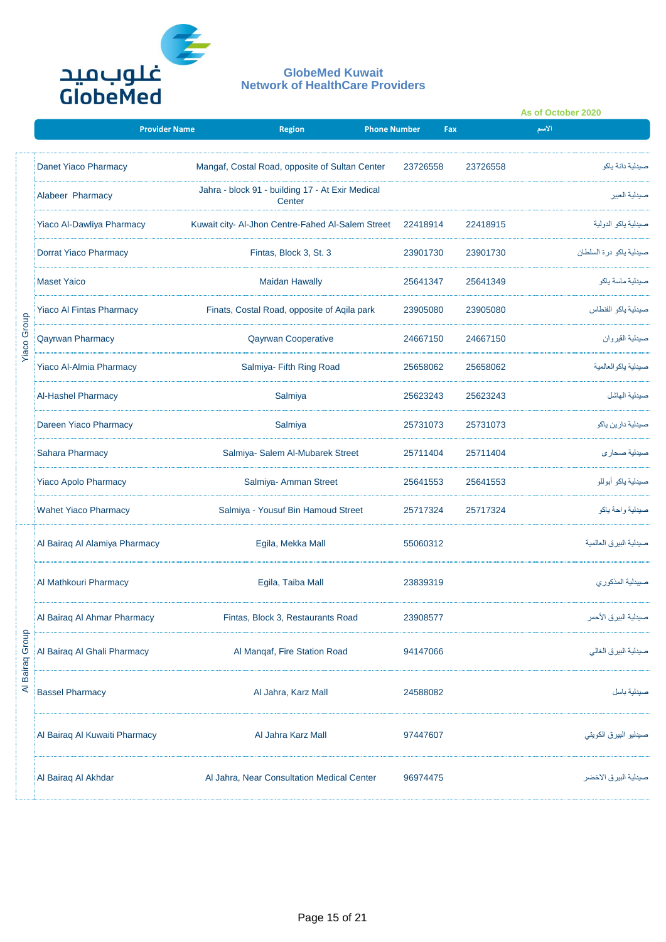

|                         |                                  |                      |                                                            |                     |          |          | As of October 2020 |                         |
|-------------------------|----------------------------------|----------------------|------------------------------------------------------------|---------------------|----------|----------|--------------------|-------------------------|
|                         |                                  | <b>Provider Name</b> | <b>Region</b>                                              | <b>Phone Number</b> |          | Fax      | الاسم              |                         |
|                         | Danet Yiaco Pharmacy             |                      | Mangaf, Costal Road, opposite of Sultan Center             |                     | 23726558 | 23726558 |                    | صبدلية دانة ياكو        |
|                         | Alabeer Pharmacy                 |                      | Jahra - block 91 - building 17 - At Exir Medical<br>Center |                     |          |          |                    | صبدلية العبير           |
|                         | <b>Yiaco Al-Dawliya Pharmacy</b> |                      | Kuwait city- Al-Jhon Centre-Fahed Al-Salem Street          |                     | 22418914 | 22418915 |                    | صيدلية ياكو الدولية     |
|                         | Dorrat Yiaco Pharmacy            |                      | Fintas, Block 3, St. 3                                     |                     | 23901730 | 23901730 |                    | صيدلية ياكو درة السلطان |
|                         | <b>Maset Yaico</b>               |                      | <b>Maidan Hawally</b>                                      |                     | 25641347 | 25641349 |                    | صيدلية ماسة ياكو        |
|                         | <b>Yiaco Al Fintas Pharmacy</b>  |                      | Finats, Costal Road, opposite of Aqila park                |                     | 23905080 | 23905080 |                    | صبدلية ياكو الفنطاس     |
| <b>Yiaco Group</b>      | <b>Qayrwan Pharmacy</b>          |                      | <b>Qayrwan Cooperative</b>                                 |                     | 24667150 | 24667150 |                    | صيدلية القيروان         |
|                         | <b>Yiaco Al-Almia Pharmacy</b>   |                      | Salmiya- Fifth Ring Road                                   |                     | 25658062 | 25658062 |                    | صبدلية ياكو العالمية    |
|                         | <b>Al-Hashel Pharmacy</b>        |                      | Salmiya                                                    |                     | 25623243 | 25623243 |                    | صبدلية الهاشل           |
|                         | Dareen Yiaco Pharmacy            |                      | Salmiya                                                    |                     | 25731073 | 25731073 |                    | صيدلية دارين ياكو       |
|                         | <b>Sahara Pharmacy</b>           |                      | Salmiya- Salem Al-Mubarek Street                           |                     | 25711404 | 25711404 |                    | صبدلية صحار ي           |
|                         | <b>Yiaco Apolo Pharmacy</b>      |                      | Salmiya- Amman Street                                      |                     | 25641553 | 25641553 |                    | سيدلية ياكو أبوللو      |
|                         | <b>Wahet Yiaco Pharmacy</b>      |                      | Salmiya - Yousuf Bin Hamoud Street                         |                     | 25717324 | 25717324 |                    | صيدلية واحة ياكو        |
|                         | Al Bairaq Al Alamiya Pharmacy    |                      | Egila, Mekka Mall                                          |                     | 55060312 |          |                    | صيدلية البيرق العالمية  |
|                         | Al Mathkouri Pharmacy            |                      | Egila, Taiba Mall                                          |                     | 23839319 |          |                    | صيبدلية المذكوري        |
|                         | Al Bairaq Al Ahmar Pharmacy      |                      | Fintas, Block 3, Restaurants Road                          |                     | 23908577 |          |                    | صيدلية البيرق الأحمر    |
| <b>Bairaq Group</b>     | Al Bairaq Al Ghali Pharmacy      |                      | Al Manqaf, Fire Station Road                               |                     | 94147066 |          |                    | سيدلية البيرق الغالي    |
| $\overline{\mathbf{z}}$ | <b>Bassel Pharmacy</b>           |                      | Al Jahra, Karz Mall                                        |                     | 24588082 |          |                    | صيدلية باسل             |
|                         | Al Bairaq Al Kuwaiti Pharmacy    |                      | Al Jahra Karz Mall                                         |                     | 97447607 |          |                    | صيدليو البيرق الكويتي   |
|                         | Al Bairaq Al Akhdar              |                      | Al Jahra, Near Consultation Medical Center                 |                     | 96974475 |          |                    | صيدلية البيرق الأخضر    |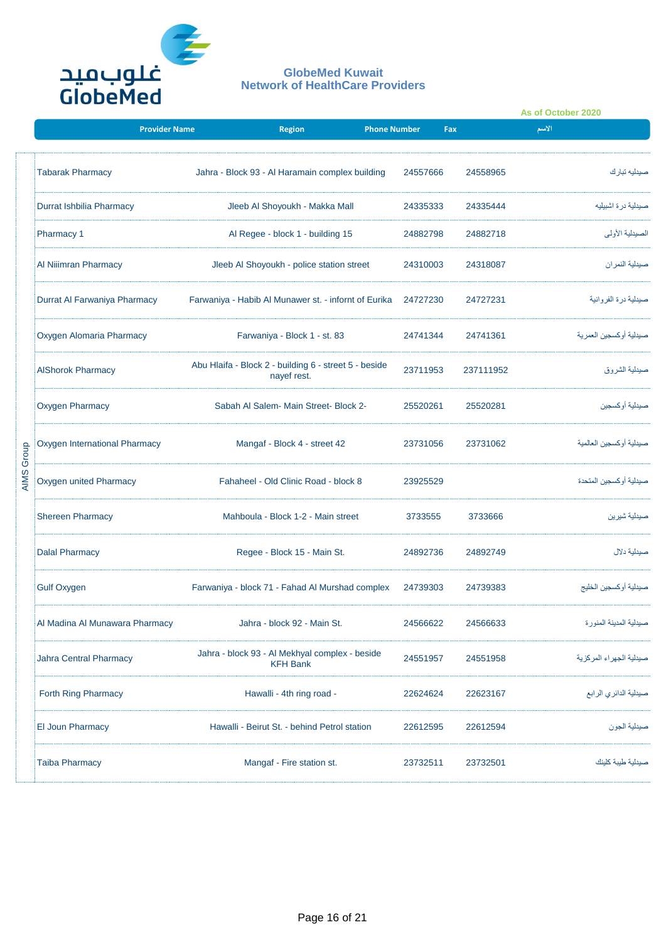

|                   |                                 |                                                                      |                                          |          |           | As of October 2020       |  |
|-------------------|---------------------------------|----------------------------------------------------------------------|------------------------------------------|----------|-----------|--------------------------|--|
|                   | <b>Provider Name</b>            | <b>Region</b>                                                        | <b>Phone Number</b>                      | Fax      |           | الاسم                    |  |
|                   | <b>Tabarak Pharmacy</b>         | Jahra - Block 93 - Al Haramain complex building                      |                                          | 24557666 | 24558965  | صبدلیه تبار ك            |  |
|                   | Durrat Ishbilia Pharmacy        | Jleeb Al Shoyoukh - Makka Mall                                       |                                          | 24335333 | 24335444  | صبدلية در ۃ اشبيليه      |  |
|                   | <b>Pharmacy 1</b>               | Al Regee - block 1 - building 15                                     |                                          | 24882798 | 24882718  | الصيدلية الأولى          |  |
|                   | Al Niiimran Pharmacy            | Jleeb Al Shoyoukh - police station street                            |                                          | 24310003 | 24318087  | صبدلية النمر ان          |  |
|                   | Durrat Al Farwaniya Pharmacy    | Farwaniya - Habib Al Munawer st. - infornt of Eurika                 |                                          | 24727230 | 24727231  | صيدلية درة الفروانية     |  |
|                   | <b>Oxygen Alomaria Pharmacy</b> | Farwaniya - Block 1 - st. 83                                         |                                          | 24741344 | 24741361  | صبدلية أوكسجين العمر ية  |  |
|                   | <b>AlShorok Pharmacy</b>        | Abu Hlaifa - Block 2 - building 6 - street 5 - beside<br>nayef rest. |                                          | 23711953 | 237111952 | صبدلية الشر وق           |  |
|                   | <b>Oxygen Pharmacy</b>          | Sabah Al Salem- Main Street- Block 2-                                |                                          | 25520261 | 25520281  | صبدلية أو كسجبن          |  |
|                   | Oxygen International Pharmacy   |                                                                      | Mangaf - Block 4 - street 42<br>23731056 |          | 23731062  | صبدلية أو كسجين العالمية |  |
| <b>AIMS Group</b> | Oxygen united Pharmacy          | Fahaheel - Old Clinic Road - block 8                                 |                                          | 23925529 |           | صبدلية أو كسجين المتحدة  |  |
|                   | <b>Shereen Pharmacy</b>         | Mahboula - Block 1-2 - Main street                                   |                                          | 3733555  | 3733666   | صيدلية شيرين             |  |
|                   | <b>Dalal Pharmacy</b>           | Regee - Block 15 - Main St.                                          |                                          | 24892736 | 24892749  | صبدلية دلال              |  |
|                   | <b>Gulf Oxygen</b>              | Farwaniya - block 71 - Fahad Al Murshad complex                      |                                          | 24739303 | 24739383  | صبدلية أوكسجين الخليج    |  |
|                   | Al Madina Al Munawara Pharmacy  | Jahra - block 92 - Main St.                                          |                                          | 24566622 | 24566633  | صبدلية المدينة المنور ة  |  |
|                   | Jahra Central Pharmacy          | Jahra - block 93 - Al Mekhyal complex - beside<br><b>KFH Bank</b>    |                                          | 24551957 | 24551958  | صينلية الجهراء المركزية  |  |
|                   | Forth Ring Pharmacy             | Hawalli - 4th ring road -                                            |                                          | 22624624 | 22623167  | صيدلية الدائري الرابع    |  |
|                   | <b>El Joun Pharmacy</b>         | Hawalli - Beirut St. - behind Petrol station                         |                                          | 22612595 | 22612594  | صيدلية الجون             |  |
|                   | <b>Taiba Pharmacy</b>           | Mangaf - Fire station st.                                            |                                          | 23732511 | 23732501  | صبدلية طببة كلبنك        |  |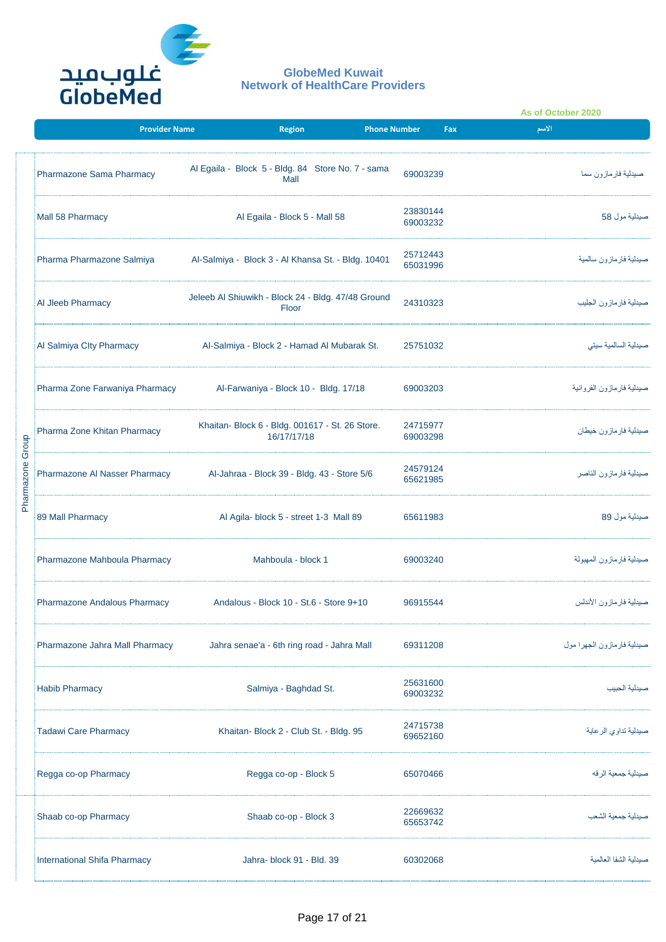

|                  |                                |                                                                |                      |     | As of October 2020         |
|------------------|--------------------------------|----------------------------------------------------------------|----------------------|-----|----------------------------|
|                  | <b>Provider Name</b>           | Region                                                         | <b>Phone Number</b>  | Fax | الاسم                      |
|                  | Pharmazone Sama Pharmacy       | Al Egaila - Block 5 - Bldg. 84 Store No. 7 - sama<br>Mall      | 69003239             |     | صبدلية فار ماز ون سما      |
|                  | Mall 58 Pharmacy               | Al Egaila - Block 5 - Mall 58                                  | 23830144<br>69003232 |     | صيدلية مول 58              |
|                  | Pharma Pharmazone Salmiya      | Al-Salmiya - Block 3 - Al Khansa St. - Bldg. 10401             | 25712443<br>65031996 |     | صيدلية فار ماز ون سالمية   |
|                  | Al Jleeb Pharmacy              | Jeleeb Al Shiuwikh - Block 24 - Bldg. 47/48 Ground<br>Floor    | 24310323             |     | صيدلية فارمازون الجليب     |
|                  | Al Salmiya City Pharmacy       | Al-Salmiya - Block 2 - Hamad Al Mubarak St.                    | 25751032             |     | صبدلية السالمية سيتى       |
|                  | Pharma Zone Farwaniya Pharmacy | Al-Farwaniya - Block 10 - Bldg. 17/18                          | 69003203             |     | صيدلية فارمازون الفروانية  |
|                  | Pharma Zone Khitan Pharmacy    | Khaitan- Block 6 - Bldg. 001617 - St. 26 Store.<br>16/17/17/18 | 24715977<br>69003298 |     | صيدلية فار ماز ون خيطان    |
| Pharmazone Group | Pharmazone Al Nasser Pharmacy  | Al-Jahraa - Block 39 - Bldg. 43 - Store 5/6                    | 24579124<br>65621985 |     | صيدلية فارمازون الناصر     |
|                  | 89 Mall Pharmacy               | Al Agila- block 5 - street 1-3 Mall 89                         | 65611983             |     | صيدلية مول 89              |
|                  | Pharmazone Mahboula Pharmacy   | Mahboula - block 1                                             | 69003240             |     | صيدلية فارمازون المهبولة   |
|                  | Pharmazone Andalous Pharmacy   | Andalous - Block 10 - St.6 - Store 9+10                        | 96915544             |     | صيدلية فارمازون الأندلس    |
|                  | Pharmazone Jahra Mall Pharmacy | Jahra senae'a - 6th ring road - Jahra Mall                     | 69311208             |     | صيدلية فارمازون الجهرا مول |
|                  | Habib Pharmacy                 | Salmiya - Baghdad St.                                          | 25631600<br>69003232 |     | صبدلية الحبيب              |
|                  | Tadawi Care Pharmacy           | Khaitan- Block 2 - Club St. - Bldg. 95                         | 24715738<br>69652160 |     | صيدلية تداوي الرعاية       |
|                  | Regga co-op Pharmacy           | Regga co-op - Block 5                                          | 65070466             |     | صبدلية جمعية الرقه         |
|                  | Shaab co-op Pharmacy           | Shaab co-op - Block 3                                          | 22669632<br>65653742 |     | صبدلبة جمعبة الشعب         |
|                  | International Shifa Pharmacy   | Jahra-block 91 - Bld. 39                                       | 60302068             |     | صبدلية الشفا العالمية      |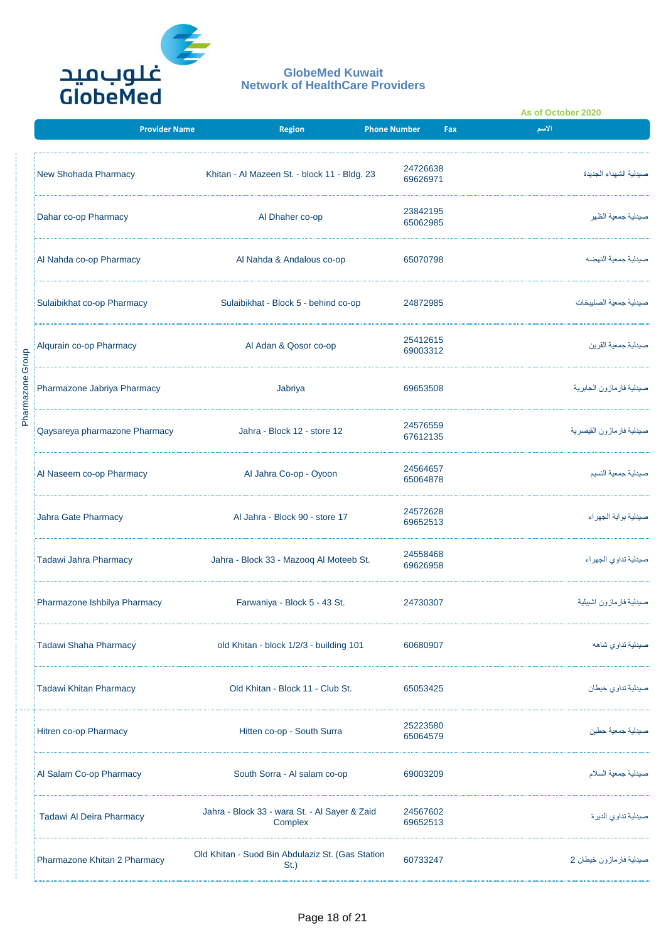

|                  |                               |                                                             |                      |     | As of October 2020          |  |
|------------------|-------------------------------|-------------------------------------------------------------|----------------------|-----|-----------------------------|--|
|                  | <b>Provider Name</b>          | <b>Region</b>                                               | <b>Phone Number</b>  | Fax | الأسم                       |  |
|                  | New Shohada Pharmacy          | Khitan - Al Mazeen St. - block 11 - Bldg. 23                | 24726638<br>69626971 |     | صبدلية الشهداء الجديدة      |  |
|                  | Dahar co-op Pharmacy          | Al Dhaher co-op                                             | 23842195<br>65062985 |     | صبدلية جمعية الظهر          |  |
|                  | Al Nahda co-op Pharmacy       | Al Nahda & Andalous co-op                                   | 65070798             |     | صبدلية جمعية النهضه         |  |
|                  | Sulaibikhat co-op Pharmacy    | Sulaibikhat - Block 5 - behind co-op                        | 24872985             |     | صبدلية جمعية الصلبيخات      |  |
|                  | Alqurain co-op Pharmacy       | Al Adan & Qosor co-op                                       | 25412615<br>69003312 |     | صيدلية جمعية القرين         |  |
| Pharmazone Group | Pharmazone Jabriya Pharmacy   | Jabriya                                                     | 69653508             |     | صيدلية فار ماز ون الجابر ية |  |
|                  | Qaysareya pharmazone Pharmacy | Jahra - Block 12 - store 12                                 | 24576559<br>67612135 |     | صيدلية فارمازون القيصرية    |  |
|                  | Al Naseem co-op Pharmacy      | Al Jahra Co-op - Oyoon                                      | 24564657<br>65064878 |     | صبدلية جمعية النسيم         |  |
|                  | Jahra Gate Pharmacy           | Al Jahra - Block 90 - store 17                              | 24572628<br>69652513 |     | صيدلية بوابة الجهراء        |  |
|                  | Tadawi Jahra Pharmacy         | Jahra - Block 33 - Mazooq Al Moteeb St.                     | 24558468<br>69626958 |     | صيدلية تداوى الجهراء        |  |
|                  | Pharmazone Ishbilya Pharmacy  | Farwaniya - Block 5 - 43 St.                                | 24730307             |     | صيدلية فارمازون اشبيلية     |  |
|                  | <b>Tadawi Shaha Pharmacy</b>  | old Khitan - block 1/2/3 - building 101                     | 60680907             |     | صيدلية تداوى شاهه           |  |
|                  | Tadawi Khitan Pharmacy        | Old Khitan - Block 11 - Club St.                            | 65053425             |     | صيدلية تداوى خيطان          |  |
|                  | Hitren co-op Pharmacy         | Hitten co-op - South Surra                                  | 25223580<br>65064579 |     | صبدلية جمعية حطبن           |  |
|                  | Al Salam Co-op Pharmacy       | South Sorra - Al salam co-op                                | 69003209             |     | صيدلية جمعية السلام         |  |
|                  | Tadawi Al Deira Pharmacy      | Jahra - Block 33 - wara St. - Al Sayer & Zaid<br>Complex    | 24567602<br>69652513 |     | صيدلية تداوي الديرة         |  |
|                  | Pharmazone Khitan 2 Pharmacy  | Old Khitan - Suod Bin Abdulaziz St. (Gas Station<br>$St.$ ) | 60733247             |     | صيدلية فارمازون خيطان 2     |  |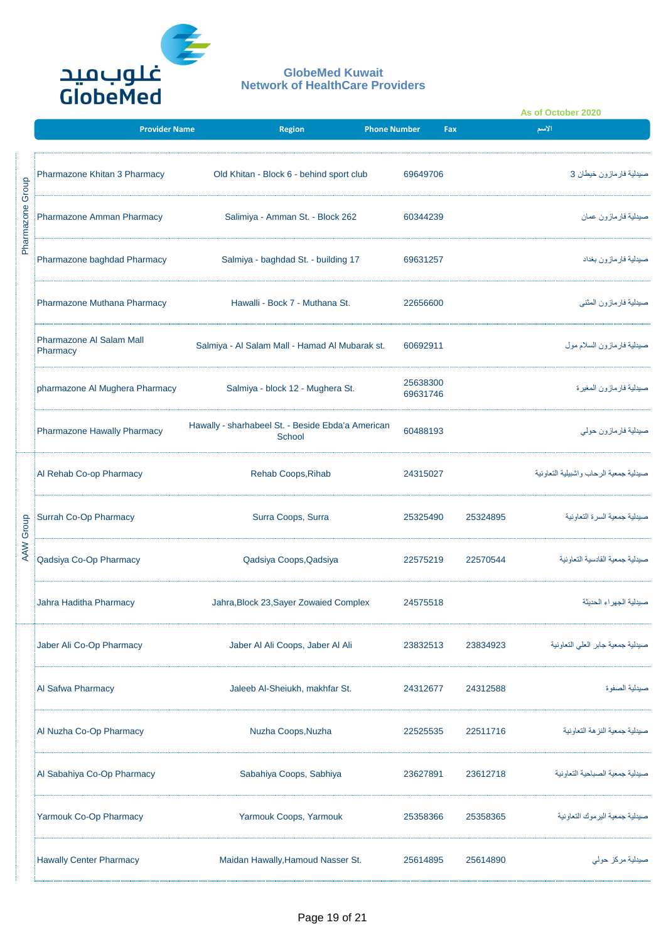

|            |                                             |                                                             |                      |          | As of October 2020                     |  |
|------------|---------------------------------------------|-------------------------------------------------------------|----------------------|----------|----------------------------------------|--|
|            | <b>Provider Name</b>                        | <b>Region</b>                                               | <b>Phone Number</b>  | Fax      | الأسم                                  |  |
| Group      | Pharmazone Khitan 3 Pharmacy                | Old Khitan - Block 6 - behind sport club                    | 69649706             |          | صيدلية فار مازون خيطان 3               |  |
| Pharmazone | Pharmazone Amman Pharmacy                   | Salimiya - Amman St. - Block 262                            | 60344239             |          | صيدلية فارمازون عمان                   |  |
|            | Pharmazone baghdad Pharmacy                 | Salmiya - baghdad St. - building 17                         | 69631257             |          | صيدلية فارمازون بغداد                  |  |
|            | Pharmazone Muthana Pharmacy                 | Hawalli - Bock 7 - Muthana St.                              | 22656600             |          | صيدلية فارمازون المثنى                 |  |
|            | <b>Pharmazone AI Salam Mall</b><br>Pharmacy | Salmiya - Al Salam Mall - Hamad Al Mubarak st.              | 60692911             |          | صيدلية فارمازون السلام مول             |  |
|            | pharmazone Al Mughera Pharmacy              | Salmiya - block 12 - Mughera St.                            | 25638300<br>69631746 |          | صيدلية فارمازون المغيرة                |  |
|            | Pharmazone Hawally Pharmacy                 | Hawally - sharhabeel St. - Beside Ebda'a American<br>School | 60488193             |          | صيدلية فارمازون حولي                   |  |
|            | Al Rehab Co-op Pharmacy                     | Rehab Coops, Rihab                                          | 24315027             |          | صبدلية جمعية الرحاب واشبيلية التعاونية |  |
|            | Surrah Co-Op Pharmacy                       | Surra Coops, Surra                                          | 25325490             | 25324895 | صيدلية جمعية السرة التعاونية           |  |
| AAW Group  | Qadsiya Co-Op Pharmacy                      | Qadsiya Coops, Qadsiya                                      | 22575219             | 22570544 | صبدلية جمعية القادسية التعاونية        |  |
|            | Jahra Haditha Pharmacy                      | Jahra, Block 23, Sayer Zowaied Complex                      | 24575518             |          | صبدلية الجهراء الحديثة                 |  |
|            | Jaber Ali Co-Op Pharmacy                    | Jaber Al Ali Coops, Jaber Al Ali                            | 23832513             | 23834923 | صيدلية جمعية جابر العلى التعاونية      |  |
|            | Al Safwa Pharmacy                           | Jaleeb Al-Sheiukh, makhfar St.                              | 24312677             | 24312588 | صيدلية الصفوة                          |  |
|            | Al Nuzha Co-Op Pharmacy                     | Nuzha Coops, Nuzha                                          | 22525535             | 22511716 | صبدلية جمعية النز هة التعاو نية        |  |
|            | Al Sabahiya Co-Op Pharmacy                  | Sabahiya Coops, Sabhiya                                     | 23627891             | 23612718 | صبدلية جمعية الصباحية التعاونية        |  |
|            | Yarmouk Co-Op Pharmacy                      | Yarmouk Coops, Yarmouk                                      | 25358366             | 25358365 | صبدلية جمعية البر موك التعاونية        |  |
|            | Hawally Center Pharmacy                     | Maidan Hawally, Hamoud Nasser St.                           | 25614895             | 25614890 | صيدلية مركز حولى                       |  |
|            |                                             | Page 19 of 21                                               |                      |          |                                        |  |
|            |                                             |                                                             |                      |          |                                        |  |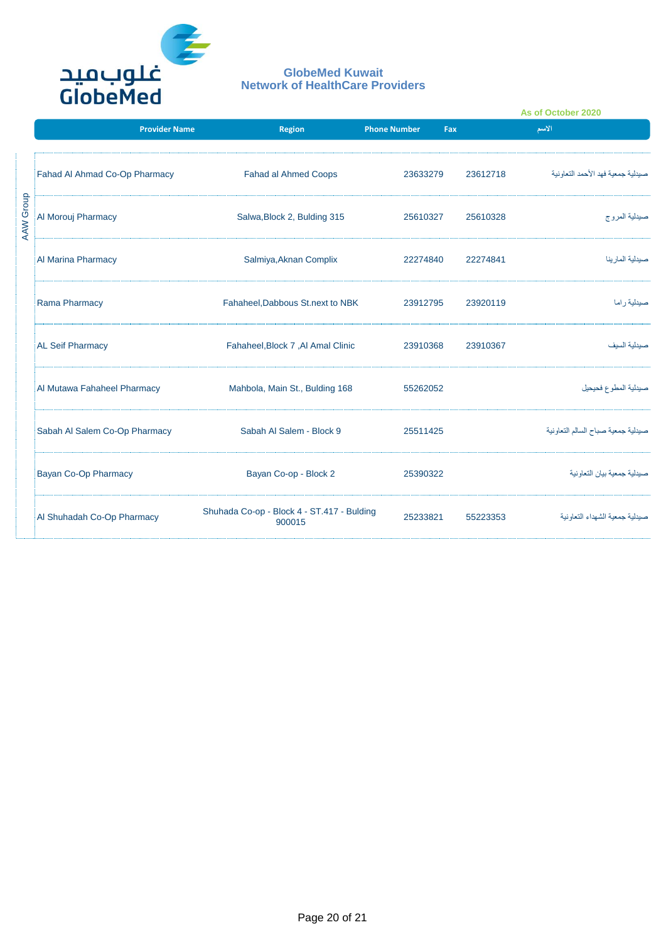

|           |                               |                                                      |                            |          | As of October 2020                 |
|-----------|-------------------------------|------------------------------------------------------|----------------------------|----------|------------------------------------|
|           | <b>Provider Name</b>          | <b>Region</b>                                        | <b>Phone Number</b><br>Fax |          | الاسم                              |
|           | Fahad Al Ahmad Co-Op Pharmacy | <b>Fahad al Ahmed Coops</b>                          | 23633279                   | 23612718 | صبدلية جمعية فهد الأحمد التعاونية  |
| AAW Group | Al Morouj Pharmacy            | Salwa, Block 2, Bulding 315                          | 25610327                   | 25610328 | صيدلية المروج                      |
|           | Al Marina Pharmacy            | Salmiya, Aknan Complix                               | 22274840                   | 22274841 | صبدلية المار ينا                   |
|           | Rama Pharmacy                 | Fahaheel, Dabbous St.next to NBK                     | 23912795                   | 23920119 | صبدلية راما                        |
|           | <b>AL Seif Pharmacy</b>       | Fahaheel, Block 7, Al Amal Clinic                    | 23910368                   | 23910367 | صبدلية السبف                       |
|           | Al Mutawa Fahaheel Pharmacy   | Mahbola, Main St., Bulding 168                       | 55262052                   |          | صيدلية المطوع فحيحيل               |
|           | Sabah Al Salem Co-Op Pharmacy | Sabah Al Salem - Block 9                             | 25511425                   |          | صبدلية جمعية صباح السالم التعاونية |
|           | Bayan Co-Op Pharmacy          | Bayan Co-op - Block 2                                | 25390322                   |          | صيدلية جمعية بيان التعاونية        |
|           | Al Shuhadah Co-Op Pharmacy    | Shuhada Co-op - Block 4 - ST.417 - Bulding<br>900015 | 25233821                   | 55223353 | صبدلية جمعية الشهداء التعاونية     |